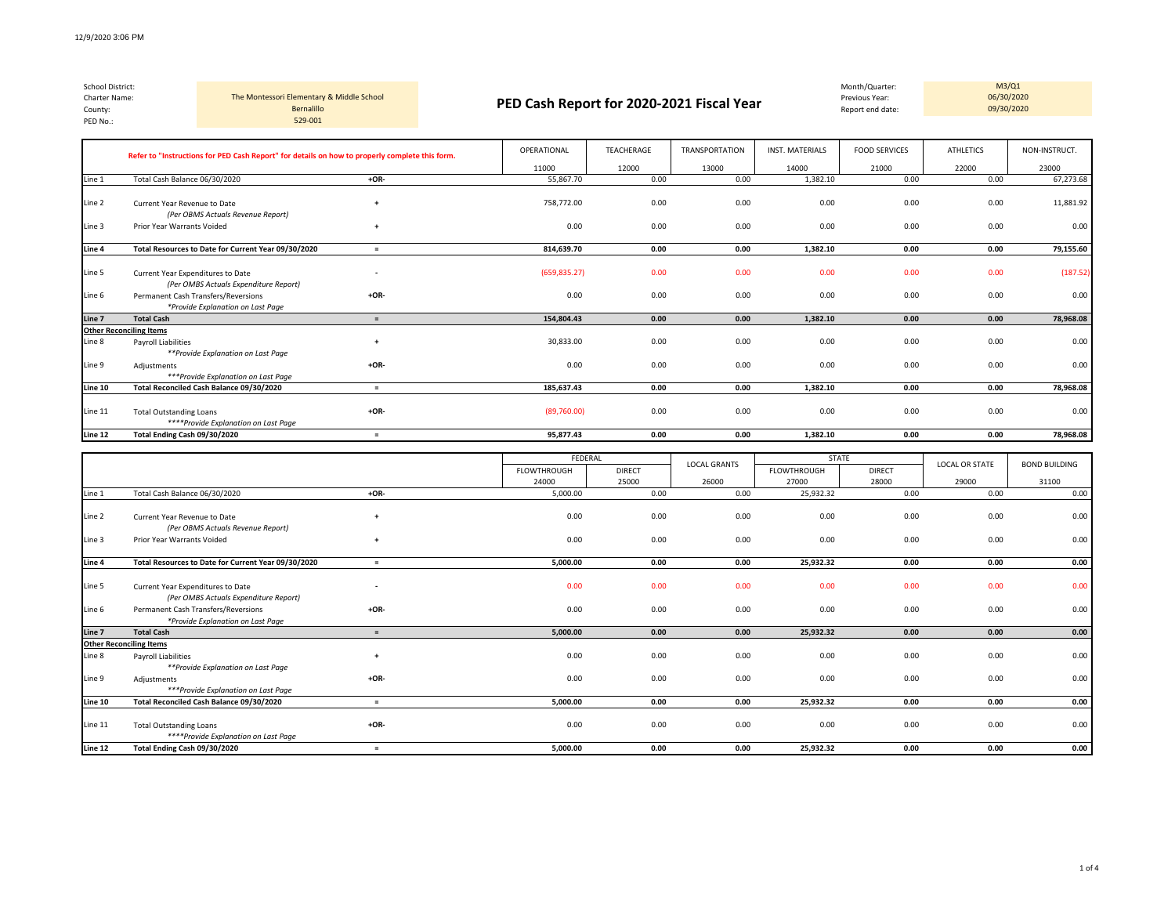*(Per OMBS Actuals Expenditure Report)*

| School District:<br>Charter Name:<br>County:<br>PED No.: |                                                                                                | The Montessori Elementary & Middle School<br>Bernalillo<br>529-001 |  | PED Cash Report for 2020-2021 Fiscal Year |            |                       |                        | Month/Quarter:<br>Previous Year:<br>Report end date: | M3/Q1<br>06/30/2020<br>09/30/2020 |               |
|----------------------------------------------------------|------------------------------------------------------------------------------------------------|--------------------------------------------------------------------|--|-------------------------------------------|------------|-----------------------|------------------------|------------------------------------------------------|-----------------------------------|---------------|
|                                                          | Refer to "Instructions for PED Cash Report" for details on how to properly complete this form. |                                                                    |  | OPERATIONAL                               | TEACHERAGE | <b>TRANSPORTATION</b> | <b>INST. MATERIALS</b> | <b>FOOD SERVICES</b>                                 | <b>ATHLETICS</b>                  | NON-INSTRUCT. |
|                                                          |                                                                                                |                                                                    |  | 11000                                     | 12000      | 13000                 | 14000                  | 21000                                                | 22000                             | 23000         |
| Line 1                                                   | Total Cash Balance 06/30/2020                                                                  | +OR-                                                               |  | 55,867.70                                 | 0.00       | 0.00                  | 1,382.10               | 0.00                                                 | 0.00                              | 67,273.68     |
| Line 2                                                   | Current Year Revenue to Date<br>(Per OBMS Actuals Revenue Report)                              |                                                                    |  | 758.772.00                                | 0.00       | 0.00                  | 0.00                   | 0.00                                                 | 0.00                              | 11,881.92     |
| Line 3                                                   | Prior Year Warrants Voided                                                                     | +                                                                  |  | 0.00                                      | 0.00       | 0.00                  | 0.00                   | 0.00                                                 | 0.00                              | 0.00          |
| Line 4                                                   | Total Resources to Date for Current Year 09/30/2020                                            |                                                                    |  | 814,639.70                                | 0.00       | 0.00                  | 1,382.10               | 0.00                                                 | 0.00                              | 79,155.60     |

| Line 6  | Permanent Cash Transfers/Reversions      | $+OR-$ | 0.00        | 0.00 | 0.00 | 0.00     | 0.00 | 0.00 | 0.00      |
|---------|------------------------------------------|--------|-------------|------|------|----------|------|------|-----------|
|         | *Provide Explanation on Last Page        |        |             |      |      |          |      |      |           |
| Line 7  | <b>Total Cash</b>                        |        | 154,804.43  | 0.00 | 0.00 | 1,382.10 | 0.00 | 0.00 | 78,968.08 |
|         | <b>Other Reconciling Items</b>           |        |             |      |      |          |      |      |           |
| Line 8  | Payroll Liabilities                      |        | 30,833.00   | 0.00 | 0.00 | 0.00     | 0.00 | 0.00 | 0.00      |
|         | **Provide Explanation on Last Page       |        |             |      |      |          |      |      |           |
| Line 9  | Adjustments                              | $+OR-$ | 0.00        | 0.00 | 0.00 | 0.00     | 0.00 | 0.00 | 0.00      |
|         | ***Provide Explanation on Last Page      |        |             |      |      |          |      |      |           |
| Line 10 | Total Reconciled Cash Balance 09/30/2020 |        | 185,637.43  | 0.00 | 0.00 | 1,382.10 | 0.00 | 0.00 | 78,968.08 |
|         |                                          |        |             |      |      |          |      |      |           |
| Line 11 | <b>Total Outstanding Loans</b>           | $+OR-$ | (89,760.00) | 0.00 | 0.00 | 0.00     | 0.00 | 0.00 | 0.00      |
|         | ****Provide Explanation on Last Page     |        |             |      |      |          |      |      |           |
| Line 12 | Total Ending Cash 09/30/2020             |        | 95,877.43   | 0.00 | 0.00 | 1,382.10 | 0.00 | 0.00 | 78,968.08 |

Line 5 Current Year Expenditures to Date **-** (659,835.27) 0.00 0.00 0.00 0.00 0.00 (187.52)

|         |                                                                            |                          | FEDERAL     |               |                     |                    | <b>STATE</b>  |                       |                      |
|---------|----------------------------------------------------------------------------|--------------------------|-------------|---------------|---------------------|--------------------|---------------|-----------------------|----------------------|
|         |                                                                            |                          | FLOWTHROUGH | <b>DIRECT</b> | <b>LOCAL GRANTS</b> | <b>FLOWTHROUGH</b> | <b>DIRECT</b> | <b>LOCAL OR STATE</b> | <b>BOND BUILDING</b> |
|         |                                                                            |                          | 24000       | 25000         | 26000               | 27000              | 28000         | 29000                 | 31100                |
| Line 1  | Total Cash Balance 06/30/2020                                              | $+OR-$                   | 5,000.00    | 0.00          | 0.00                | 25,932.32          | 0.00          | 0.00                  | 0.00                 |
| Line 2  | Current Year Revenue to Date<br>(Per OBMS Actuals Revenue Report)          | $\ddot{}$                | 0.00        | 0.00          | 0.00                | 0.00               | 0.00          | 0.00                  | 0.00                 |
| Line 3  | <b>Prior Year Warrants Voided</b>                                          | $+$                      | 0.00        | 0.00          | 0.00                | 0.00               | 0.00          | 0.00                  | 0.00                 |
| Line 4  | Total Resources to Date for Current Year 09/30/2020                        | $=$                      | 5,000.00    | 0.00          | 0.00                | 25,932.32          | 0.00          | 0.00                  | 0.00                 |
| Line 5  | Current Year Expenditures to Date<br>(Per OMBS Actuals Expenditure Report) | $\overline{\phantom{a}}$ | 0.00        | 0.00          | 0.00                | 0.00               | 0.00          | 0.00                  | 0.00                 |
| Line 6  | Permanent Cash Transfers/Reversions<br>*Provide Explanation on Last Page   | $+OR-$                   | 0.00        | 0.00          | 0.00                | 0.00               | 0.00          | 0.00                  | 0.00                 |
| Line 7  | <b>Total Cash</b>                                                          | $=$                      | 5,000.00    | 0.00          | 0.00                | 25,932.32          | 0.00          | 0.00                  | 0.00                 |
|         | <b>Other Reconciling Items</b>                                             |                          |             |               |                     |                    |               |                       |                      |
| Line 8  | <b>Pavroll Liabilities</b><br>**Provide Explanation on Last Page           | $+$                      | 0.00        | 0.00          | 0.00                | 0.00               | 0.00          | 0.00                  | 0.00                 |
| Line 9  | Adjustments<br>***Provide Explanation on Last Page                         | $+OR-$                   | 0.00        | 0.00          | 0.00                | 0.00               | 0.00          | 0.00                  | 0.00                 |
| Line 10 | Total Reconciled Cash Balance 09/30/2020                                   | $=$                      | 5.000.00    | 0.00          | 0.00                | 25,932.32          | 0.00          | 0.00                  | 0.00                 |
| Line 11 | <b>Total Outstanding Loans</b><br>****Provide Explanation on Last Page     | $+OR-$                   | 0.00        | 0.00          | 0.00                | 0.00               | 0.00          | 0.00                  | 0.00                 |
| Line 12 | Total Ending Cash 09/30/2020                                               | $=$                      | 5.000.00    | 0.00          | 0.00                | 25,932.32          | 0.00          | 0.00                  | 0.00                 |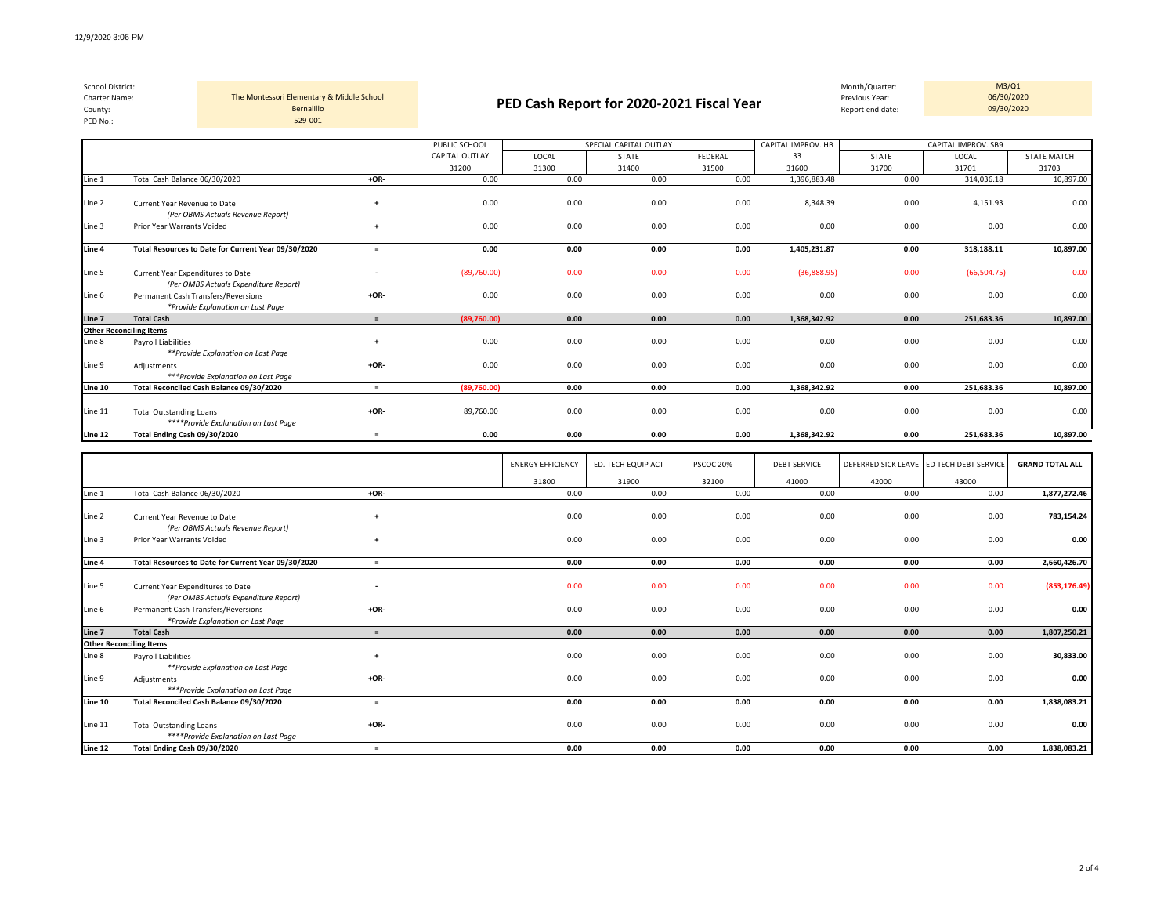**Other Reconciling Items**

*\*Provide Explanation on Last Page*

*\*\*Provide Explanation on Last Page*

*\*\*\*Provide Explanation on Last Page*

*\*\*\*\*Provide Explanation on Last Page*

| School District:<br>Charter Name:<br>County:<br>PED No.: | Bernalillo<br>529-001                                                      | The Montessori Elementary & Middle School |                       |       | Month/Quarter:<br>Previous Year:<br>PED Cash Report for 2020-2021 Fiscal Year<br>Report end date: |         |                    |       |                     | M3/Q1<br>06/30/2020<br>09/30/2020 |
|----------------------------------------------------------|----------------------------------------------------------------------------|-------------------------------------------|-----------------------|-------|---------------------------------------------------------------------------------------------------|---------|--------------------|-------|---------------------|-----------------------------------|
|                                                          |                                                                            |                                           | PUBLIC SCHOOL         |       | SPECIAL CAPITAL OUTLAY                                                                            |         | CAPITAL IMPROV. HB |       | CAPITAL IMPROV. SB9 |                                   |
|                                                          |                                                                            |                                           | <b>CAPITAL OUTLAY</b> | LOCAL | <b>STATE</b>                                                                                      | FEDERAL | 33                 | STATE | LOCAL               | <b>STATE MATCH</b>                |
|                                                          |                                                                            |                                           | 31200                 | 31300 | 31400                                                                                             | 31500   | 31600              | 31700 | 31701               | 31703                             |
| Line 1                                                   | Total Cash Balance 06/30/2020                                              | $+OR-$                                    | 0.00                  | 0.00  | 0.00                                                                                              | 0.00    | 1,396,883.48       | 0.00  | 314,036.18          | 10,897.00                         |
| Line 2                                                   | Current Year Revenue to Date<br>(Per OBMS Actuals Revenue Report)          | $_{+}$                                    | 0.00                  | 0.00  | 0.00                                                                                              | 0.00    | 8,348.39           | 0.00  | 4,151.93            | 0.00                              |
| Line 3                                                   | Prior Year Warrants Voided                                                 | +                                         | 0.00                  | 0.00  | 0.00                                                                                              | 0.00    | 0.00               | 0.00  | 0.00                | 0.00                              |
| Line 4                                                   | Total Resources to Date for Current Year 09/30/2020                        | $=$                                       | 0.00                  | 0.00  | 0.00                                                                                              | 0.00    | 1,405,231.87       | 0.00  | 318,188.11          | 10,897.00                         |
| Line 5                                                   | Current Year Expenditures to Date<br>(Per OMBS Actuals Expenditure Report) |                                           | (89,760.00)           | 0.00  | 0.00                                                                                              | 0.00    | (36,888.95)        | 0.00  | (66, 504.75)        | 0.00                              |
| Line 6                                                   | Permanent Cash Transfers/Reversions                                        | $+OR-$                                    | 0.00                  | 0.00  | 0.00                                                                                              | 0.00    | 0.00               | 0.00  | 0.00                | 0.00                              |

**Line 7 Total Cash = (89,760.00) 0.00 0.00 0.00 1,368,342.92 0.00 251,683.36 10,897.00**

Line 8 Payroll Liabilities **+** 0.00 0.00 0.00 0.00 0.00 0.00 0.00 0.00

Line 9 Adjustments **+OR-** 0.00 0.00 0.00 0.00 0.00 0.00 0.00 0.00

**Line 10 Total Reconciled Cash Balance 09/30/2020 = (89,760.00) 0.00 0.00 0.00 1,368,342.92 0.00 251,683.36 10,897.00** Line 11 Total Outstanding Loans **+OR-** 89,760.00 0.00 0.00 0.00 0.00 0.00 0.00 0.00

| Line 12 | Total Ending Cash 09/30/2020                                               | $=$                      | 0.00 | 0.00                     | 0.00               | 0.00      | 1,368,342.92        | 0.00  | 251,683.36                               | 10,897.00              |
|---------|----------------------------------------------------------------------------|--------------------------|------|--------------------------|--------------------|-----------|---------------------|-------|------------------------------------------|------------------------|
|         |                                                                            |                          |      |                          |                    |           |                     |       |                                          |                        |
|         |                                                                            |                          |      | <b>ENERGY EFFICIENCY</b> | ED. TECH EQUIP ACT | PSCOC 20% | <b>DEBT SERVICE</b> |       | DEFERRED SICK LEAVE ED TECH DEBT SERVICE | <b>GRAND TOTAL ALL</b> |
|         |                                                                            |                          |      | 31800                    | 31900              | 32100     | 41000               | 42000 | 43000                                    |                        |
| Line 1  | Total Cash Balance 06/30/2020                                              | $+OR-$                   |      | 0.00                     | 0.00               | 0.00      | 0.00                | 0.00  | 0.00                                     | 1,877,272.46           |
| Line 2  | Current Year Revenue to Date<br>(Per OBMS Actuals Revenue Report)          | $_{+}$                   |      | 0.00                     | 0.00               | 0.00      | 0.00                | 0.00  | 0.00                                     | 783,154.24             |
| Line 3  | Prior Year Warrants Voided                                                 | $+$                      |      | 0.00                     | 0.00               | 0.00      | 0.00                | 0.00  | 0.00                                     | 0.00                   |
| Line 4  | Total Resources to Date for Current Year 09/30/2020                        | $=$                      |      | 0.00                     | 0.00               | 0.00      | 0.00                | 0.00  | 0.00                                     | 2,660,426.70           |
| Line 5  | Current Year Expenditures to Date<br>(Per OMBS Actuals Expenditure Report) | $\overline{\phantom{a}}$ |      | 0.00                     | 0.00               | 0.00      | 0.00                | 0.00  | 0.00                                     | (853, 176.49)          |
| Line 6  | Permanent Cash Transfers/Reversions<br>*Provide Explanation on Last Page   | $+OR-$                   |      | 0.00                     | 0.00               | 0.00      | 0.00                | 0.00  | 0.00                                     | 0.00                   |
| Line 7  | <b>Total Cash</b>                                                          | $=$                      |      | 0.00                     | 0.00               | 0.00      | 0.00                | 0.00  | 0.00                                     | 1,807,250.21           |
|         | <b>Other Reconciling Items</b>                                             |                          |      |                          |                    |           |                     |       |                                          |                        |
| Line 8  | <b>Payroll Liabilities</b><br>**Provide Explanation on Last Page           |                          |      | 0.00                     | 0.00               | 0.00      | 0.00                | 0.00  | 0.00                                     | 30,833.00              |
| Line 9  | Adjustments<br>***Provide Explanation on Last Page                         | $+OR-$                   |      | 0.00                     | 0.00               | 0.00      | 0.00                | 0.00  | 0.00                                     | 0.00                   |
| Line 10 | Total Reconciled Cash Balance 09/30/2020                                   | $=$                      |      | 0.00                     | 0.00               | 0.00      | 0.00                | 0.00  | 0.00                                     | 1,838,083.21           |
| Line 11 | <b>Total Outstanding Loans</b><br>****Provide Explanation on Last Page     | $+OR-$                   |      | 0.00                     | 0.00               | 0.00      | 0.00                | 0.00  | 0.00                                     | 0.00                   |
| Line 12 | Total Ending Cash 09/30/2020                                               | $\equiv$                 |      | 0.00                     | 0.00               | 0.00      | 0.00                | 0.00  | 0.00                                     | 1,838,083.21           |

2 of 4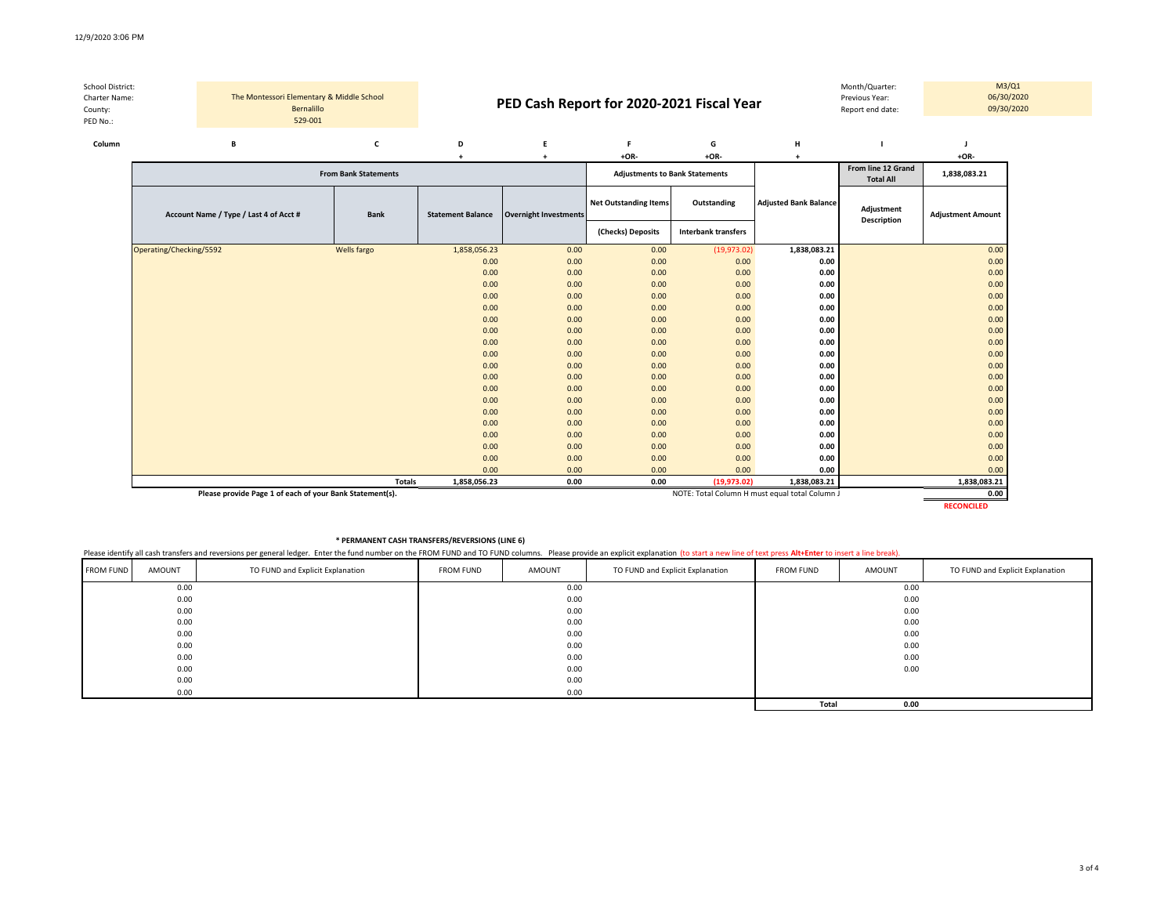|                  |         |                                           |            |                             |   | <b>Net Outstanding Items</b>              | Outstanding | <b>Adjusted Bank Balance</b> |                                        |              |            |
|------------------|---------|-------------------------------------------|------------|-----------------------------|---|-------------------------------------------|-------------|------------------------------|----------------------------------------|--------------|------------|
|                  |         |                                           |            | <b>From Bank Statements</b> |   | <b>Adjustments to Bank Statements</b>     |             |                              | From line 12 Grand<br><b>Total All</b> | 1,838,083.21 |            |
|                  |         |                                           |            |                             |   | $+OR-$                                    | $+OR-$      |                              |                                        | $+OR-$       |            |
| Column           |         | в                                         |            |                             | D |                                           | G           | H                            |                                        |              |            |
| PED No.:         | 529-001 |                                           |            |                             |   |                                           |             |                              |                                        |              |            |
| County:          |         |                                           | Bernalillo |                             |   |                                           |             |                              | Report end date:                       | 09/30/2020   |            |
| Charter Name:    |         | The Montessori Elementary & Middle School |            |                             |   | PED Cash Report for 2020-2021 Fiscal Year |             |                              | Previous Year:                         |              | 06/30/2020 |
| School District: |         |                                           |            |                             |   |                                           |             |                              | Month/Quarter:                         |              | M3/Q1      |

| Account Name / Type / Last 4 of Acct # | Bank          | <b>Statement Balance</b> | <b>Overnight Investments</b> | <b>Net Outstanding Items</b> | Outstanding                | <b>Adjusted Bank Balance</b> | Adjustment<br><b>Description</b> | <b>Adjustment Amount</b> |
|----------------------------------------|---------------|--------------------------|------------------------------|------------------------------|----------------------------|------------------------------|----------------------------------|--------------------------|
|                                        |               |                          |                              | (Checks) Deposits            | <b>Interbank transfers</b> |                              |                                  |                          |
| Operating/Checking/5592                | Wells fargo   | 1,858,056.23             | 0.00                         | 0.00                         | (19,973.02)                | 1,838,083.21                 |                                  | 0.00                     |
|                                        |               | 0.00                     | 0.00                         | 0.00                         | 0.00                       | 0.00                         |                                  | 0.00                     |
|                                        |               | 0.00                     | 0.00                         | 0.00                         | 0.00                       | 0.00                         |                                  | 0.00                     |
|                                        |               | 0.00                     | 0.00                         | 0.00                         | 0.00                       | 0.00                         |                                  | 0.00                     |
|                                        |               | 0.00                     | 0.00                         | 0.00                         | 0.00                       | 0.00                         |                                  | 0.00                     |
|                                        |               | 0.00                     | 0.00                         | 0.00                         | 0.00                       | 0.00                         |                                  | 0.00                     |
|                                        |               | 0.00                     | 0.00                         | 0.00                         | 0.00                       | 0.00                         |                                  | 0.00                     |
|                                        |               | 0.00                     | 0.00                         | 0.00                         | 0.00                       | 0.00                         |                                  | 0.00                     |
|                                        |               | 0.00                     | 0.00                         | 0.00                         | 0.00                       | 0.00                         |                                  | 0.00                     |
|                                        |               | 0.00                     | 0.00                         | 0.00                         | 0.00                       | 0.00                         |                                  | 0.00                     |
|                                        |               | 0.00                     | 0.00                         | 0.00                         | 0.00                       | 0.00                         |                                  | 0.00                     |
|                                        |               | 0.00                     | 0.00                         | 0.00                         | 0.00                       | 0.00                         |                                  | 0.00                     |
|                                        |               | 0.00                     | 0.00                         | 0.00                         | 0.00                       | 0.00                         |                                  | 0.00                     |
|                                        |               | 0.00                     | 0.00                         | 0.00                         | 0.00                       | 0.00                         |                                  | 0.00                     |
|                                        |               | 0.00                     | 0.00                         | 0.00                         | 0.00                       | 0.00                         |                                  | 0.00                     |
|                                        |               | 0.00                     | 0.00                         | 0.00                         | 0.00                       | 0.00                         |                                  | 0.00                     |
|                                        |               | 0.00                     | 0.00                         | 0.00                         | 0.00                       | 0.00                         |                                  | 0.00                     |
|                                        |               | 0.00                     | 0.00                         | 0.00                         | 0.00                       | 0.00                         |                                  | 0.00                     |
|                                        |               | 0.00                     | 0.00                         | 0.00                         | 0.00                       | 0.00                         |                                  | 0.00                     |
|                                        |               | 0.00                     | 0.00                         | 0.00                         | 0.00                       | 0.00                         |                                  | 0.00                     |
|                                        | <b>Totals</b> | 1,858,056.23             | 0.00                         | 0.00                         | (19, 973.02)               | 1,838,083.21                 |                                  | 1,838,083.21             |

**Please provide Page 1 of each of your Bank Statement(s). Depited by the column of the column of the column of the column of the column of the column of the column of the column of the column of the column of the column** 

**RECONCILED**

## **\* PERMANENT CASH TRANSFERS/REVERSIONS (LINE 6)**

Please identify all cash transfers and reversions per general ledger. Enter the fund number on the FROM FUND and TO FUND columns. Please provide an explicit explanation (to start a new line of text press Alt+Enter to inser

| <b>FROM FUND</b> | AMOUNT | TO FUND and Explicit Explanation | <b>FROM FUND</b> | AMOUNT | TO FUND and Explicit Explanation | <b>FROM FUND</b> | AMOUNT | TO FUND and Explicit Explanation |  |  |
|------------------|--------|----------------------------------|------------------|--------|----------------------------------|------------------|--------|----------------------------------|--|--|
|                  | 0.00   |                                  |                  | 0.00   |                                  |                  | 0.00   |                                  |  |  |
|                  | 0.00   |                                  |                  | 0.00   |                                  |                  | 0.00   |                                  |  |  |
|                  | 0.00   |                                  |                  | 0.00   |                                  |                  | 0.00   |                                  |  |  |
|                  | 0.00   |                                  |                  | 0.00   |                                  |                  | 0.00   |                                  |  |  |
|                  | 0.00   |                                  |                  | 0.00   |                                  | 0.00             |        |                                  |  |  |
|                  | 0.00   |                                  |                  | 0.00   |                                  |                  | 0.00   |                                  |  |  |
|                  | 0.00   |                                  |                  | 0.00   |                                  |                  | 0.00   |                                  |  |  |
|                  | 0.00   |                                  |                  | 0.00   |                                  |                  | 0.00   |                                  |  |  |
|                  | 0.00   |                                  |                  | 0.00   |                                  |                  |        |                                  |  |  |
|                  | 0.00   |                                  |                  | 0.00   |                                  |                  |        |                                  |  |  |
|                  |        |                                  |                  |        |                                  | Total            | 0.00   |                                  |  |  |